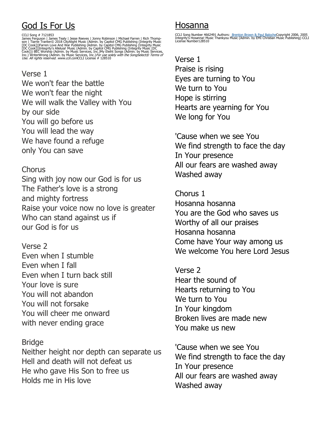# God Is For Us

CCLI Song # 7121853<br>James Ferguson | James Tealy | Jesse Reeves | Jonny Robinson | Michael Farren | Rich Thomp-James Tealy | Jesse Reeves | Jonny Robinson | Tiarne Tranter© 2018 CityAlight Music (Admin. by Capitol CMG Publ

Verse 1 We won't fear the battle We won't fear the night We will walk the Valley with You by our side You will go before us You will lead the way We have found a refuge only You can save

#### **Chorus**

Sing with joy now our God is for us The Father's love is a strong and mighty fortress Raise your voice now no love is greater Who can stand against us if our God is for us

Verse 2 Even when I stumble Even when I fall Even when I turn back still Your love is sure You will not abandon You will not forsake You will cheer me onward with never ending grace

#### **Bridge**

Neither height nor depth can separate us Hell and death will not defeat us He who gave His Son to free us Holds me in His love

## Hosanna

CCLI Song Number 4662491 Authors: <u> Brenton Brown & Paul Baloche</u>Copyright 2006, 2005<br>Integrity's Hosanna! Music Thankyou Music (Admin. by EMI Christian Music Publishing) CCLI<br>License Number128510

Verse 1 Praise is rising Eyes are turning to You We turn to You Hope is stirring Hearts are yearning for You We long for You

'Cause when we see You We find strength to face the day In Your presence All our fears are washed away Washed away

Chorus 1 Hosanna hosanna You are the God who saves us Worthy of all our praises Hosanna hosanna Come have Your way among us We welcome You here Lord Jesus

Verse 2 Hear the sound of Hearts returning to You We turn to You In Your kingdom Broken lives are made new You make us new

'Cause when we see You We find strength to face the day In Your presence All our fears are washed away Washed away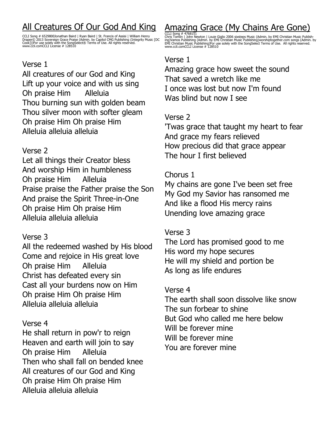# All Creatures Of Our God And King

CCLI Song # 6529800Jonathan Baird | Ryan Baird | St. Francis of Assisi | William Henry<br>Draper© 2013 Sovereign Grace Praise (Admin. by Capitol CMG Publishing (Integrity Music [DC<br>Cook]))For use solely with the SongSelect® T

#### Verse 1

All creatures of our God and King Lift up your voice and with us sing Oh praise Him Alleluia Thou burning sun with golden beam Thou silver moon with softer gleam Oh praise Him Oh praise Him Alleluia alleluia alleluia

#### Verse 2

Let all things their Creator bless And worship Him in humbleness Oh praise Him Alleluia Praise praise the Father praise the Son And praise the Spirit Three-in-One Oh praise Him Oh praise Him Alleluia alleluia alleluia

### Verse 3

All the redeemed washed by His blood Come and rejoice in His great love Oh praise Him Alleluia Christ has defeated every sin Cast all your burdens now on Him Oh praise Him Oh praise Him Alleluia alleluia alleluia

#### Verse 4

He shall return in pow'r to reign Heaven and earth will join to say Oh praise Him Alleluia Then who shall fall on bended knee All creatures of our God and King Oh praise Him Oh praise Him Alleluia alleluia alleluia

# Amazing Grace (My Chains Are Gone)

CCLI Song # 4768151<br>Chris Tomlin | John Newton | Louie Giglio 2006 sixsteps Music (Admin. by EMI Christian Music Publish-<br>ing)Vamos Publishing (Admin. by EMI Christian Music Publishing)worshiptogether.com songs (Admin. by<br>

#### Verse 1

Amazing grace how sweet the sound That saved a wretch like me I once was lost but now I'm found Was blind but now I see

#### Verse 2

'Twas grace that taught my heart to fear And grace my fears relieved How precious did that grace appear The hour I first believed

#### Chorus 1

My chains are gone I've been set free My God my Savior has ransomed me And like a flood His mercy rains Unending love amazing grace

### Verse 3

The Lord has promised good to me His word my hope secures He will my shield and portion be As long as life endures

#### Verse 4

The earth shall soon dissolve like snow The sun forbear to shine But God who called me here below Will be forever mine Will be forever mine You are forever mine